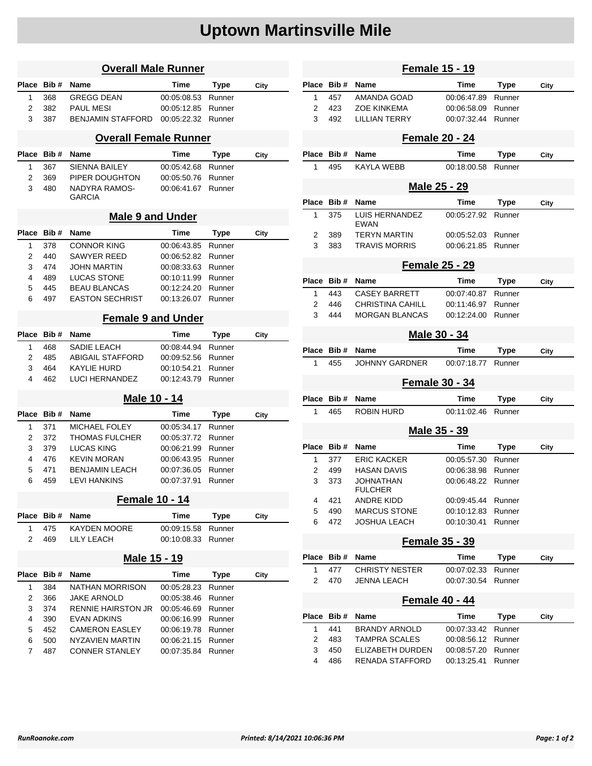## **Uptown Martinsville Mile**

| <b>Overall Male Runner</b>   |            |                                               |                            |                  |      |  |  |  |
|------------------------------|------------|-----------------------------------------------|----------------------------|------------------|------|--|--|--|
| Place                        | Bib#       | <b>Name</b>                                   | Time                       | Type             | City |  |  |  |
| 1                            | 368        | <b>GREGG DEAN</b>                             | 00:05:08.53                | Runner           |      |  |  |  |
| 2                            | 382        | <b>PAUL MESI</b>                              | 00:05:12.85                | Runner           |      |  |  |  |
| 3                            | 387        | <b>BENJAMIN STAFFORD</b>                      | 00:05:22.32                | Runner           |      |  |  |  |
| <b>Overall Female Runner</b> |            |                                               |                            |                  |      |  |  |  |
| Place                        | Bib#       | Name                                          | Time                       | Type             | City |  |  |  |
| 1                            | 367        | SIENNA BAILEY                                 | 00:05:42.68                | Runner           |      |  |  |  |
| 2                            | 369        | PIPER DOUGHTON                                | 00:05:50.76                | Runner           |      |  |  |  |
| 3                            | 480        | NADYRA RAMOS-<br><b>GARCIA</b>                | 00:06:41.67                | Runner           |      |  |  |  |
| <b>Male 9 and Under</b>      |            |                                               |                            |                  |      |  |  |  |
| Place                        | Bib#       | Name                                          | Time                       | Type             | City |  |  |  |
| 1                            | 378        | <b>CONNOR KING</b>                            | 00:06:43.85                | Runner           |      |  |  |  |
| 2                            | 440        | <b>SAWYER REED</b>                            | 00:06:52.82                | Runner           |      |  |  |  |
| 3                            | 474        | <b>JOHN MARTIN</b>                            |                            |                  |      |  |  |  |
| 4                            | 489        | <b>LUCAS STONE</b>                            | 00:08:33.63<br>00:10:11.99 | Runner<br>Runner |      |  |  |  |
|                              |            |                                               |                            |                  |      |  |  |  |
| 5<br>6                       | 445<br>497 | <b>BEAU BLANCAS</b><br><b>EASTON SECHRIST</b> | 00:12:24.20<br>00:13:26.07 | Runner<br>Runner |      |  |  |  |
|                              |            |                                               |                            |                  |      |  |  |  |
| <b>Female 9 and Under</b>    |            |                                               |                            |                  |      |  |  |  |
| Place                        | Bib#       | Name                                          | Time                       | Type             | City |  |  |  |
| 1                            | 468        | SADIE LEACH                                   | 00:08:44.94                | Runner           |      |  |  |  |
| 2                            | 485        | <b>ABIGAIL STAFFORD</b>                       | 00:09:52.56                | Runner           |      |  |  |  |
| 3                            | 464        | KAYLIE HURD                                   | 00:10:54.21                | Runner           |      |  |  |  |
| 4                            | 462        | LUCI HERNANDEZ                                | 00:12:43.79                | Runner           |      |  |  |  |
|                              |            | Male 10 - 14                                  |                            |                  |      |  |  |  |
| Place                        | Bib#       | Name                                          | Time                       | Type             | City |  |  |  |
| 1                            | 371        | <b>MICHAEL FOLEY</b>                          | 00:05:34.17                | Runner           |      |  |  |  |
| 2                            | 372        | <b>THOMAS FULCHER</b>                         | 00:05:37.72                | Runner           |      |  |  |  |
| 3                            | 379        | <b>LUCAS KING</b>                             | 00:06:21.99                | Runner           |      |  |  |  |
| 4                            | 476        | <b>KEVIN MORAN</b>                            | 00:06:43.95                | Runner           |      |  |  |  |
| 5                            | 471        | <b>BENJAMIN LEACH</b>                         | 00:07:36.05                | Runner           |      |  |  |  |
| 6                            | 459        | <b>LEVI HANKINS</b>                           | 00:07:37.91                | Runner           |      |  |  |  |
|                              |            | <b>Female 10 - 14</b>                         |                            |                  |      |  |  |  |
| Place                        | Bib#       | Name                                          | Time                       | <b>Type</b>      | City |  |  |  |
| 1                            | 475        | <b>KAYDEN MOORE</b>                           | 00:09:15.58                | Runner           |      |  |  |  |
| 2                            | 469        | LILY LEACH                                    | 00:10:08.33                | Runner           |      |  |  |  |
| Male 15 - 19                 |            |                                               |                            |                  |      |  |  |  |
| Place                        | Bib#       | Name                                          | Time                       | <b>Type</b>      | City |  |  |  |
| 1                            | 384        | NATHAN MORRISON                               | 00:05:28.23                | Runner           |      |  |  |  |
| 2                            | 366        | <b>JAKE ARNOLD</b>                            | 00:05:38.46                | Runner           |      |  |  |  |
| 3                            | 374        | <b>RENNIE HAIRSTON JR</b>                     | 00:05:46.69                | Runner           |      |  |  |  |
| 4                            | 390        | <b>EVAN ADKINS</b>                            | 00:06:16.99                | Runner           |      |  |  |  |
| 5                            | 452        | <b>CAMERON EASLEY</b>                         | 00:06:19.78                | Runner           |      |  |  |  |
| 6                            | 500        | NYZAVIEN MARTIN                               | 00:06:21.15                | Runner           |      |  |  |  |
| 7                            | 487        | <b>CONNER STANLEY</b>                         | 00:07:35.84                | Runner           |      |  |  |  |
|                              |            |                                               |                            |                  |      |  |  |  |

| <b>Female 15 - 19</b> |       |                               |                            |                |      |  |  |  |
|-----------------------|-------|-------------------------------|----------------------------|----------------|------|--|--|--|
| Place                 | Bib#  | Name                          | Time                       | <b>Type</b>    | City |  |  |  |
| 1                     | 457   | AMANDA GOAD                   | 00:06:47.89                | Runner         |      |  |  |  |
| 2                     | 423   | <b>ZOE KINKEMA</b>            | 00:06:58.09                | Runner         |      |  |  |  |
| 3                     | 492   | <b>LILLIAN TERRY</b>          | 00:07:32.44                | Runner         |      |  |  |  |
| <b>Female 20 - 24</b> |       |                               |                            |                |      |  |  |  |
| Place                 | Bib#  | Name                          | Time                       | Type           | City |  |  |  |
| 1                     | 495   | KAYLA WEBB                    | 00:18:00.58                | Runner         |      |  |  |  |
| <u>Male 25 - 29</u>   |       |                               |                            |                |      |  |  |  |
| Place                 | Bib#  | Name                          | Time                       | Type           | City |  |  |  |
| 1                     | 375   | LUIS HERNANDEZ<br><b>EWAN</b> | 00:05:27.92                | Runner         |      |  |  |  |
| 2                     | 389   | <b>TERYN MARTIN</b>           | 00:05:52.03                | Runner         |      |  |  |  |
| 3                     | 383   | <b>TRAVIS MORRIS</b>          | 00:06:21.85                | Runner         |      |  |  |  |
| <b>Female 25 - 29</b> |       |                               |                            |                |      |  |  |  |
| Place                 | Bib # | Name                          | <b>Time</b>                |                |      |  |  |  |
| 1                     | 443   | <b>CASEY BARRETT</b>          |                            | Type<br>Runner | City |  |  |  |
| 2                     | 446   | <b>CHRISTINA CAHILL</b>       | 00:07:40.87<br>00:11:46.97 | Runner         |      |  |  |  |
| 3                     | 444   | <b>MORGAN BLANCAS</b>         | 00:12:24.00                | Runner         |      |  |  |  |
|                       |       |                               |                            |                |      |  |  |  |
| Male 30 - 34          |       |                               |                            |                |      |  |  |  |
| Place                 | Bib#  | Name                          | Time                       | Type           | City |  |  |  |
| 1                     | 455   | JOHNNY GARDNER                | 00:07:18.77                | Runner         |      |  |  |  |
| <b>Female 30 - 34</b> |       |                               |                            |                |      |  |  |  |
| Place                 | Bib#  | Name                          | Time                       | <b>Type</b>    | City |  |  |  |
| 1                     | 465   | ROBIN HURD                    | 00:11:02.46                | Runner         |      |  |  |  |
| Male 35 - 39          |       |                               |                            |                |      |  |  |  |
| Place                 | Bib#  | Name                          | Time                       | <b>Type</b>    | City |  |  |  |
| 1                     | 377   | <b>ERIC KACKER</b>            | 00:05:57.30                | Runner         |      |  |  |  |
| 2                     | 499   | <b>HASAN DAVIS</b>            | 00:06:38.98                | Runner         |      |  |  |  |
| 3                     | 373   | JOHNATHAN<br><b>FULCHER</b>   | 00:06:48.22                | Runner         |      |  |  |  |
| 4                     | 421   | ANDRE KIDD                    | 00:09:45.44                | Runner         |      |  |  |  |
| 5                     | 490   | <b>MARCUS STONE</b>           | 00:10:12.83                | Runner         |      |  |  |  |
| 6                     | 472   | JOSHUA LEACH                  | 00:10:30.41                | Runner         |      |  |  |  |
| <b>Female 35 - 39</b> |       |                               |                            |                |      |  |  |  |
| Place                 | Bib#  | Name                          | Time                       | Type           | City |  |  |  |
| 1                     | 477   | <b>CHRISTY NESTER</b>         | 00:07:02.33                | Runner         |      |  |  |  |
| 2                     | 470   | JENNA LEACH                   | 00:07:30.54                | Runner         |      |  |  |  |
| Female 40 - 44        |       |                               |                            |                |      |  |  |  |
| Place                 | Bib#  | Name                          | Time                       | <b>Type</b>    | City |  |  |  |
| 1                     | 441   | <b>BRANDY ARNOLD</b>          | 00:07:33.42                | Runner         |      |  |  |  |
| 2                     | 483   | <b>TAMPRA SCALES</b>          | 00:08:56.12                | Runner         |      |  |  |  |
| 3                     | 450   | ELIZABETH DURDEN              | 00:08:57.20                | Runner         |      |  |  |  |
| 4                     | 486   | RENADA STAFFORD               | 00:13:25.41                | Runner         |      |  |  |  |
|                       |       |                               |                            |                |      |  |  |  |